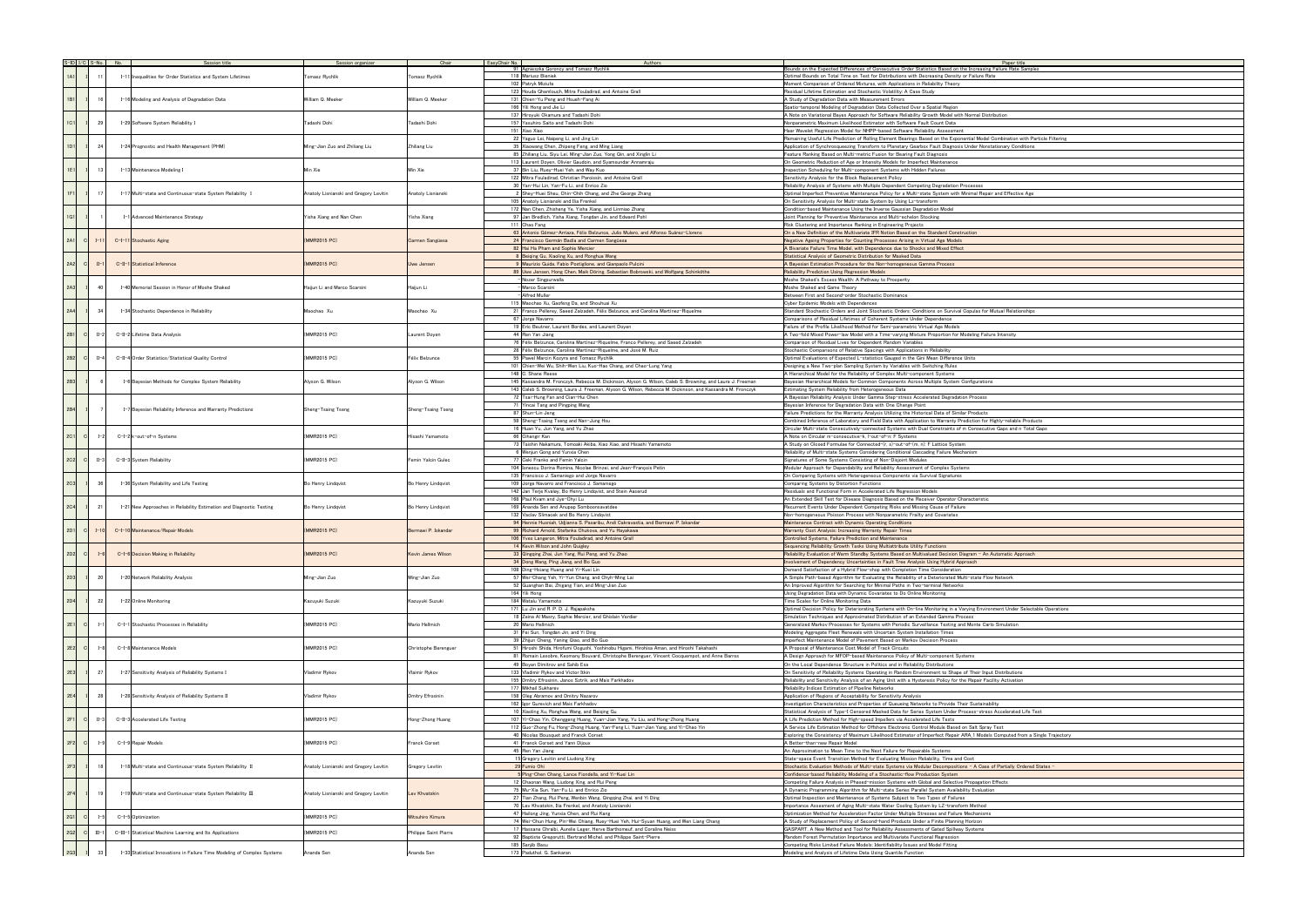| $S-ID   I/C   S-No.   No.$ |                 |                                                              | Session title                                                            | Session organizer                      | Chair                 | EasyChair No.                            | Authors                                                                                                                                |                                                                                                                                                                                                   |
|----------------------------|-----------------|--------------------------------------------------------------|--------------------------------------------------------------------------|----------------------------------------|-----------------------|------------------------------------------|----------------------------------------------------------------------------------------------------------------------------------------|---------------------------------------------------------------------------------------------------------------------------------------------------------------------------------------------------|
|                            |                 |                                                              |                                                                          |                                        |                       |                                          | 91 Agnieszka Goroncy and Tomasz Rychlik<br>118 Mariusz Bieniek                                                                         | Bounds on the Expected Differences of Consecutive Order Statistics Based on the Increasing I<br>Optimal Bounds on Total Time on Test for Distributions with Decreasing Density or Failure Rat     |
| 1A1                        | -11             |                                                              | I-11 Inequalities for Order Statistics and System Lifetimes              | Tomasz Rychlik                         | Tomasz Rychlik        |                                          | 102 Patryk Miziuła                                                                                                                     | Moment Comparison of Ordered Mixtures, with Applications in Reliability Theory                                                                                                                    |
|                            |                 |                                                              |                                                                          |                                        |                       |                                          | 123 Houda Ghamlouch, Mitra Fouladirad, and Antoine Grall                                                                               | Residual Lifetime Estimation and Stochastic Volatility: A Case Study                                                                                                                              |
| 1B1                        | 16              |                                                              | I-16 Modeling and Analysis of Degradation Data                           | William Q. Meeker                      | William Q. Meeker     |                                          | 131 Chien-Yu Peng and Hsueh-Fang Ai                                                                                                    | A Study of Degradation Data with Measurement Errors                                                                                                                                               |
|                            |                 |                                                              |                                                                          |                                        |                       |                                          | 166 Yili Hong and Jie Li                                                                                                               | Spatio-temporal Modeling of Degradation Data Collected Over a Spatial Region                                                                                                                      |
| 1C1                        | 29              |                                                              | I-29 Software System Reliability I                                       | Tadashi Dohi                           | Tadashi Dohi          |                                          | 137 Hiroyuki Okamura and Tadashi Dohi<br>157 Yasuhiro Saito and Tadashi Dohi                                                           | A Note on Variational Bayes Approach for Software Reliability Growth Model with Normal Distri<br>Nonparametric Maximum Likelihood Estimator with Software Fault Count Data                        |
|                            |                 |                                                              |                                                                          |                                        |                       |                                          | 151 Xiao Xiao                                                                                                                          | Haar Wavelet Regression Model for NHPP-based Software Reliability Assessment                                                                                                                      |
|                            |                 |                                                              |                                                                          |                                        |                       |                                          | 22 Yaguo Lei, Naipeng Li, and Jing Lin                                                                                                 | Remaining Useful Life Prediction of Rolling Element Bearings Based on the Exponential Model C                                                                                                     |
| 1D1                        | 24              |                                                              | I-24 Prognostic and Health Management (PHM)                              | Ming-Jian Zuo and Zhiliang Liu         | Zhiliang Liu          |                                          | 35 Xiaowang Chen, Zhipeng Feng, and Ming Liang                                                                                         | Application of Synchrosqueezing Transform to Planetary Gearbox Fault Diagnosis Under Nonsta                                                                                                       |
|                            |                 |                                                              |                                                                          |                                        |                       |                                          | 85 Zhiliang Liu, Siyu Lei, Ming-Jian Zuo, Yong Qin, and Xinglin Li<br>113 Laurent Doyen, Olivier Gaudoin, and Syamsundar Annamraju     | Feature Ranking Based on Multi-metric Fusion for Bearing Fault Diagnosis<br>On Geometric Reduction of Age or Intensity Models for Imperfect Maintenance                                           |
| 1E1                        | 13              |                                                              | I-13 Maintenance Modeling I                                              | Min Xie                                | Min Xie               |                                          | 37 Bin Liu, Ruey-Huei Yeh, and Way Kuo                                                                                                 | Inspection Scheduling for Multi-component Systems with Hidden Failures                                                                                                                            |
|                            |                 |                                                              |                                                                          |                                        |                       |                                          | 122 Mitra Fouladirad, Christian Paroissin, and Antoine Grall                                                                           | Sensitivity Analysis for the Block Replacement Policy                                                                                                                                             |
|                            |                 |                                                              |                                                                          |                                        |                       |                                          | 30 Yan-Hui Lin, Yan-Fu Li, and Enrico Zio                                                                                              | Reliability Analysis of Systems with Multiple Dependent Competing Degradation Processes                                                                                                           |
| 1F1                        | 17 <sup>1</sup> |                                                              | I-17 Multi-state and Continuous-state System Reliability I               | Anatoly Lisnianski and Gregory Levitin | Anatoly Lisnianski    |                                          | 2 Shey-Huei Sheu, Chin-Chih Chang, and Zhe George Zhang                                                                                | Optimal Imperfect Preventive Maintenance Policy for a Multi-state System with Minimal Repair                                                                                                      |
|                            |                 |                                                              |                                                                          |                                        |                       |                                          | 105 Anatoly Lisnianski and Ilia Frenkel<br>172 Nan Chen, Zhisheng Ye, Yisha Xiang, and Linmiao Zhang                                   | On Sensitivity Analysis for Multi-state System by Using Lz-transform<br>Condition-based Maintenance Using the Inverse Gaussian Degradation Model                                                  |
| 1G1                        |                 |                                                              | I-1 Advanced Maintenance Strategy                                        | Yisha Xiang and Nan Chen               | Yisha Xiang           |                                          | 97 Jan Bredlich, Yisha Xiang, Tongdan Jin, and Edward Pohl                                                                             | Joint Planning for Preventive Maintenance and Multi-echelon Stocking                                                                                                                              |
|                            |                 |                                                              |                                                                          |                                        |                       |                                          | 111 Chao Fang                                                                                                                          | Risk Clustering and Importance Ranking in Engineering Projects                                                                                                                                    |
|                            |                 |                                                              |                                                                          |                                        |                       |                                          | 63 Antonio Gómez-Arriaza, Félix Belzunce, Julio Mulero, and Alfonso Suárez-Llorens                                                     | On a New Definition of the Multivariate IFR Notion Based on the Standard Construction                                                                                                             |
| 2A1<br>$\vert$ C           | $I-11$          |                                                              | C-I-11 Stochastic Aging                                                  | (MMR2015 PC)                           | Carmen Sangüesa       |                                          | 24 Francisco Germán Badía and Carmen Sangüesa                                                                                          | Negative Ageing Properties for Counting Processes Arising in Virtual Age Models                                                                                                                   |
|                            |                 |                                                              |                                                                          |                                        |                       |                                          | 82 Hai Ha Pham and Sophie Mercier<br>8 Beiging Gu, Xiaoling Xu, and Ronghua Wang                                                       | A Bivariate Failure Time Model, with Dependence due to Shocks and Mixed Effect<br>Statistical Analysis of Geometric Distribution for Masked Data                                                  |
| 2A2<br>$\vert$ C           | $II-1$          |                                                              | C-II-1 Statistical Inference                                             | (MMR2015 PC)                           | Uwe Jensen            |                                          | 9 Maurizio Guida, Fabio Postiglione, and Gianpaolo Pulcini                                                                             | A Bayesian Estimation Procedure for the Non-homogeneous Gamma Process                                                                                                                             |
|                            |                 |                                                              |                                                                          |                                        |                       |                                          | 89 Uwe Jensen, Hong Chen, Maik Döring, Sebastian Bobrowski, and Wolfgang Schinköthe                                                    | Reliability Prediction Using Regression Models                                                                                                                                                    |
|                            |                 |                                                              |                                                                          |                                        |                       |                                          | -Nozer Singpurwalla                                                                                                                    | Moshe Shaked's Excess Wealth: A Pathway to Prosperity                                                                                                                                             |
| 2A3                        | 40              |                                                              | I-40 Memorial Session in Honor of Moshe Shaked                           | Haijun Li and Marco Scarsini           | Haijun Li             |                                          | Marco Scarsini                                                                                                                         | Moshe Shaked and Game Theory                                                                                                                                                                      |
|                            |                 |                                                              |                                                                          |                                        |                       |                                          | - Alfred Muller<br>115 Maochao Xu, Gaofeng Da, and Shouhuai Xu                                                                         | Between First and Second-order Stochastic Dominance<br>Cyber Epidemic Models with Dependences                                                                                                     |
| 2A4                        | 34              |                                                              | I-34 Stochastic Dependence in Reliability                                | Maochao Xu                             | Maochao Xu            |                                          | 21 Franco Pellerey, Saeed Zalzadeh, Félix Belzunce, and Carolina Martínez-Riquelme                                                     | Standard Stochastic Orders and Joint Stochastic Orders: Conditions on Survival Copulas for M                                                                                                      |
|                            |                 |                                                              |                                                                          |                                        |                       |                                          | 67 Jorge Navarro                                                                                                                       | Comparisons of Residual Lifetimes of Coherent Systems Under Dependence                                                                                                                            |
|                            |                 |                                                              |                                                                          |                                        |                       |                                          | 19 Eric Beutner, Laurent Bordes, and Laurent Doyen                                                                                     | Failure of the Profile Likelihood Method for Semi-parametric Virtual Age Models                                                                                                                   |
| 2B1<br> C                  | $II-2$          |                                                              | C-II-2 Lifetime Data Analysis                                            | (MMR2015 PC)                           | Laurent Doyen         |                                          | 44 Ren Yan Jiang                                                                                                                       | A Two-fold Mixed Power-law Model with a Time-varying Mixture Proportion for Modeling Failur                                                                                                       |
|                            |                 |                                                              |                                                                          |                                        |                       |                                          | 76 Félix Belzunce, Carolina Martínez-Riquelme, Franco Pellerey, and Saeed Zalzadeh                                                     | Comparison of Residual Lives for Dependent Random Variables                                                                                                                                       |
| 2B2<br><sub>c</sub>        | $II-4$          |                                                              | C-II-4 Order Statistics/Statistical Quality Control                      | (MMR2015 PC)                           | Félix Belzunce        |                                          | 28 Félix Belzunce, Carolina Martínez-Riquelme, and José M. Ruiz<br>55 Pawel Marcin Kozyra and Tomasz Rychlik                           | Stochastic Comparisons of Relative Spacings with Applications in Reliability<br>Optimal Evaluations of Expected L-statistics Gauged in the Gini Mean Difference Units                             |
|                            |                 |                                                              |                                                                          |                                        |                       |                                          | 101 Chien-Wei Wu, Shih-Wen Liu, Kuo-Hao Chang, and Chao-Lung Yang                                                                      | Designing a New Two-plan Sampling System by Variables with Switching Rules                                                                                                                        |
|                            |                 |                                                              |                                                                          |                                        |                       |                                          | 148 C. Shane Reese                                                                                                                     | A Hierarchical Model for the Reliability of Complex Multi-component Systems                                                                                                                       |
| 2B3                        |                 |                                                              | I-6 Bayesian Methods for Complex System Reliability                      | Alyson G. Wilson                       | Alyson G. Wilson      |                                          | 145 Kassandra M. Fronczyk, Rebecca M. Dickinson, Alyson G. Wilson, Caleb S. Browning, and Laura J. Freeman                             | Bayesian Hierarchical Models for Common Components Across Multiple System Configurations                                                                                                          |
|                            |                 |                                                              |                                                                          |                                        |                       |                                          | 143 Caleb S. Browning, Laura J. Freeman, Alyson G. Wilson, Rebecca M. Dickinson, and Kassandra M. Fronczyk                             | Estimating System Reliability from Heterogeneous Data                                                                                                                                             |
|                            |                 |                                                              |                                                                          |                                        |                       |                                          | 72 Tsai-Hung Fan and Cian-Hui Chen                                                                                                     | A Bayesian Reliability Analysis Under Gamma Step-stress Accelerated Degradation Process                                                                                                           |
| 2B4                        |                 |                                                              | I-7 Bayesian Reliability Inference and Warranty Predictions              | Sheng-Tsaing Tseng                     | Sheng-Tsaing Tseng    |                                          | 71 Yincai Tang and Pingping Wang                                                                                                       | Bayesian Inference for Degradation Data with One Change Point                                                                                                                                     |
|                            |                 |                                                              |                                                                          |                                        |                       |                                          | 87 Shun-Lin Jeng<br>58 Sheng-Tsaing Tseng and Nan-Jung Hsu                                                                             | Failure Predictions for the Warranty Analysis Utilizing the Historical Data of Similar Products<br>Combined Inference of Laboratory and Field Data with Application to Warranty Prediction for Hi |
|                            |                 |                                                              |                                                                          |                                        |                       |                                          | 16 Huan Yu, Jun Yang, and Yu Zhao                                                                                                      | Circular Multi-state Consecutively-connected Systems with Dual Constraints of m Consecutive                                                                                                       |
| 2C1<br> C                  | $I-2$           |                                                              | C-I-2 k-out-of-n Systems                                                 | (MMR2015 PC)                           | Hisashi Yamamoto      |                                          | 66 Cihangir Kan                                                                                                                        | A Note on Circular m-consecutive-k, I-out-of-n: F Systems                                                                                                                                         |
|                            |                 |                                                              |                                                                          |                                        |                       |                                          | 73 Taishin Nakamura, Tomoaki Akiba, Xiao Xiao, and Hisashi Yamamoto                                                                    | A Study on Closed Formulae for Connected-(r, s)-out-of-(m, n): F Lattice System                                                                                                                   |
|                            |                 |                                                              |                                                                          |                                        |                       |                                          | 6 Wenjun Gong and Yunxia Chen                                                                                                          | Reliability of Multi-state Systems Considering Conditional Cascading Failure Mechanism                                                                                                            |
| 2C2<br>$\vert$ C           | $II-3$          |                                                              | C-II-3 System Reliability                                                | (MMR2015 PC)                           | Femin Yalcin Gulec    |                                          | 77 Ceki Franko and Femin Yalcin                                                                                                        | Signatures of Some Systems Consisting of Non-Disjoint Modules                                                                                                                                     |
|                            |                 |                                                              |                                                                          |                                        |                       |                                          | 104 Ionescu Dorina Romina, Nicolae Brinzei, and Jean-François Petin<br>135 Francisco J. Samaniego and Jorge Navarro                    | Modular Approach for Dependability and Reliability Assessment of Complex Systems                                                                                                                  |
| 2C3                        | 36              |                                                              | I-36 System Reliability and Life Testing                                 | Bo Henry Lindqvist                     | Bo Henry Lindqvist    |                                          | 109 Jorge Navarro and Francisco J. Samaniego                                                                                           | On Comparing Systems with Heterogeneous Components via Survival Signatures<br>Comparing Systems by Distortion Functions                                                                           |
|                            |                 |                                                              |                                                                          |                                        |                       |                                          | 142 Jan Terje Kvaløy, Bo Henry Lindqvist, and Stein Aaserud                                                                            | Residuals and Functional Form in Accelerated Life Regression Models                                                                                                                               |
|                            |                 |                                                              |                                                                          |                                        |                       |                                          | 168 Paul Kvam and Jye-Chyi Lu                                                                                                          | An Extended Skill Test for Disease Diagnosis Based on the Receiver Operator Characteristic                                                                                                        |
| 2C4                        | 21              |                                                              | I-21 New Approaches in Reliability Estimation and Diagnostic Testing     | Bo Henry Lindqvist                     | Bo Henry Lindqvist    |                                          | 169 Ananda Sen and Anupap Somboonsavatdee                                                                                              | Recurrent Events Under Dependent Competing Risks and Missing Cause of Failure                                                                                                                     |
|                            |                 |                                                              |                                                                          |                                        |                       |                                          | 132 Vaclav Slimacek and Bo Henry Lindqvist                                                                                             | Non-homogeneous Poisson Process with Nonparametric Frailty and Covariates                                                                                                                         |
|                            |                 |                                                              |                                                                          |                                        |                       |                                          | 94 Hennie Husniah, Udjianna S. Pasaribu, Andi Cakravastia, and Bermawi P. Iskandar                                                     | Maintenance Contract with Dynamic Operating Conditions                                                                                                                                            |
| 2D1<br>$\vert$ C           | $I-10$          |                                                              | C-I-10 Maintenance/Repair Models                                         | (MMR2015 PC)                           | Bermawi P. Iskandar   |                                          | 99 Richard Arnold, Stefanka Chukova, and Yu Hayakawa<br>106 Yves Langeron, Mitra Fouladirad, and Antoine Grall                         | Warranty Cost Analysis: Increasing Warranty Repair Times<br>Controlled Systems, Failure Prediction and Maintenance                                                                                |
|                            |                 |                                                              |                                                                          |                                        |                       |                                          | 14 Kevin Wilson and John Quigley                                                                                                       | Sequencing Reliability Growth Tasks Using Multiattribute Utility Functions                                                                                                                        |
| 2D2<br>$\mathbf{C}$        | $I - 6$         |                                                              | C-I-6 Decision Making in Reliability                                     | (MMR2015 PC)                           | Kevin James Wilson    |                                          | 33 Qingqing Zhai, Jun Yang, Rui Peng, and Yu Zhao                                                                                      | Reliability Evaluation of Warm Standby Systems Based on Multivalued Decision Diagram - An A                                                                                                       |
|                            |                 |                                                              |                                                                          |                                        |                       |                                          | 34 Dong Wang, Ping Jiang, and Bo Guo                                                                                                   | Involvement of Dependency Uncertainties in Fault Tree Analysis Using Hybrid Approach                                                                                                              |
|                            |                 |                                                              |                                                                          |                                        |                       |                                          | 108 Ding-Hsiang Huang and Yi-Kuei Lin                                                                                                  | Demand Satisfaction of a Hybrid Flow-shop with Completion Time Consideration                                                                                                                      |
| 2D3                        | 20              |                                                              | I-20 Network Reliability Analysis                                        | Ming-Jian Zuo                          | Ming-Jian Zuo         |                                          | 57 Wei-Chang Yeh, Yi-Yun Chang, and Chyh-Ming Lai                                                                                      | A Simple Path-based Algorithm for Evaluating the Reliability of a Deteriorated Multi-state Flow                                                                                                   |
|                            |                 |                                                              |                                                                          |                                        |                       |                                          | 52 Guanghan Bai, Zhigang Tian, and Ming-Jian Zuo<br>164 Yili Hong                                                                      | An Improved Algorithm for Searching for Minimal Paths in Two-terminal Networks<br>Using Degradation Data with Dynamic Covariates to Do Online Monitoring                                          |
| 2D4                        | 22              |                                                              | I-22 Online Monitoring                                                   | Kazuyuki Suzuki                        | Kazuyuki Suzuki       |                                          | 184 Watalu Yamamoto                                                                                                                    | Time Scales for Online Monitoring Data                                                                                                                                                            |
|                            |                 |                                                              |                                                                          |                                        |                       |                                          | 171 Lu Jin and R. P. D. J. Rajapaksha                                                                                                  | Optimal Decision Policy for Deteriorating Systems with On-line Monitoring in a Varying Environ                                                                                                    |
|                            |                 |                                                              |                                                                          |                                        |                       |                                          | 18 Zeina Al Masry, Sophie Mercier, and Ghislain Verdier                                                                                | Simulation Techniques and Approximated Distribution of an Extended Gamma Process                                                                                                                  |
| 2E1<br> C                  | $I-1$           |                                                              | C-I-1 Stochastic Processes in Reliability                                | (MMR2015 PC)                           | Mario Hellmich        |                                          | 20 Mario Hellmich                                                                                                                      | Generalized Markov Processes for Systems with Periodic Surveillance Testing and Monte Carlo                                                                                                       |
|                            |                 |                                                              |                                                                          |                                        |                       |                                          | 31 Fei Sun, Tongdan Jin, and Yi Ding                                                                                                   | Modeling Aggregate Fleet Renewals with Uncertain System Installation Times                                                                                                                        |
| 2E2<br> C                  | $I - 8$         |                                                              | C-I-8 Maintenance Models                                                 | (MMR2015 PC)                           | Christophe Berenguer  |                                          | 39 Zhijun Cheng, Yaning Qiao, and Bo Guo<br>51 Hiroshi Shida, Hirofumi Oogushi, Yoshinobu Higami, Hirohisa Aman, and Hiroshi Takahashi | Imperfect Maintenance Model of Pavement Based on Markov Decision Process<br>A Proposal of Maintenance Cost Model of Track Circuits                                                                |
|                            |                 |                                                              |                                                                          |                                        |                       |                                          | 81 Romain Lesobre, Keomany Bouvard, Christophe Berenguer, Vincent Cocquempot, and Anne Barros                                          | A Design Approach for MFOP-based Maintenance Policy of Multi-component Systems                                                                                                                    |
|                            |                 |                                                              |                                                                          |                                        |                       |                                          | 49 Boyan Dimitrov and Sahib Esa                                                                                                        | On the Local Dependence Structure in Politics and in Reliability Distributions                                                                                                                    |
| 2E3                        | 27              |                                                              | I-27 Sensitivity Analysis of Reliability Systems I                       | Vladimir Rykov                         | Vlaimir Rykov         |                                          | 133 Vladimir Rykov and Victor Itkin                                                                                                    | On Sensitivity of Reliability Systems Operating in Random Environment to Shape of Their Input                                                                                                     |
|                            |                 |                                                              |                                                                          |                                        |                       |                                          | 155 Dmitry Efrosinin, Janos Sztrik, and Mais Farkhadov                                                                                 | Reliability and Sensitivity Analysis of an Aging Unit with a Hysteresis Policy for the Repair Facil                                                                                               |
|                            |                 |                                                              |                                                                          |                                        |                       |                                          | 177 Mikhail Sukharev                                                                                                                   | Reliability Indices Estimation of Pipeline Networks                                                                                                                                               |
| 2E4                        | 28              |                                                              | I-28 Sensitivity Analysis of Reliability Systems II                      | Vladimir Rykov                         | Dmitry Efrosinin      |                                          | 158 Oleg Abramov and Dmitry Nazarov<br>162 Igor Gurevich and Mais Farkhadov                                                            | Application of Regions of Acceptability for Sensitivity Analysis<br>Investigation Characteristics and Properties of Queueing Networks to Provide Their Sustainabil                                |
|                            |                 |                                                              |                                                                          |                                        |                       |                                          | 10 Xiaoling Xu, Ronghua Wang, and Beiging Gu                                                                                           | Statistical Analysis of Type-I Censored Masked Data for Series System Under Process-stress                                                                                                        |
| 2F1<br> C                  | $II-3$          |                                                              | C-II-3 Accelerated Life Testing                                          | (MMR2015 PC)                           | Hong-Zhong Huang      |                                          | 107 Yi-Chao Yin, Chenggeng Huang, Yuan-Jian Yang, Yu Liu, and Hong-Zhong Huang                                                         | A Life Prediction Method for High-speed Impellers via Accelerated Life Tests                                                                                                                      |
|                            |                 |                                                              |                                                                          |                                        |                       |                                          | 112 Guo-Zhong Fu, Hong-Zhong Huang, Yan-Feng Li, Yuan-Jian Yang, and Yi-Chao Yin                                                       | A Service Life Estimation Method for Offshore Electronic Control Module Based on Salt Spray                                                                                                       |
|                            |                 |                                                              |                                                                          |                                        |                       |                                          | 40 Nicolas Bousquet and Franck Corset                                                                                                  | Exploring the Consistency of Maximum Likelihood Estimator of Imperfect Repair ARA_1 Models                                                                                                        |
| 2F2<br> C                  | $I-9$           |                                                              | C-I-9 Repair Models                                                      | (MMR2015 PC)                           | Franck Corset         |                                          | 41 Franck Corset and Yann Dijoux                                                                                                       | A Better-than-new Repair Model                                                                                                                                                                    |
|                            |                 |                                                              |                                                                          |                                        |                       |                                          | 45 Ren Yan Jiang<br>15 Gregory Levitin and Liudong Xing                                                                                | An Approximation to Mean Time to the Next Failure for Repairable Systems<br>State-space Event Transition Method for Evaluating Mission Reliability, Time and Cost                                 |
| 2F3                        | 18 <sup>1</sup> |                                                              | I-18 Multi-state and Continuous-state System Reliability II              | Anatoly Lisnianski and Gregory Levitin | Gregory Levitin       |                                          | 29 Fumio Ohi                                                                                                                           | Stochastic Evaluation Methods of Multi-state Systems via Modular Decompositions - A Case o                                                                                                        |
|                            |                 |                                                              |                                                                          |                                        |                       |                                          | 5 Ping-Chen Chang, Lance Fiondella, and Yi-Kuei Lin                                                                                    | Confidence-based Reliability Modeling of a Stochastic-flow Production System                                                                                                                      |
|                            |                 |                                                              |                                                                          |                                        |                       |                                          | 12 Chaonan Wang, Liudong Xing, and Rui Peng                                                                                            | Competing Failure Analysis in Phased-mission Systems with Global and Selective Propagation I                                                                                                      |
| 2F4                        | 19              | I-19 Multi-state and Continuous-state System Reliability III | Anatoly Lisnianski and Gregory Levitin                                   | Lev Khvatskin                          |                       | 75 Mu-Xia Sun, Yan-Fu Li, and Enrico Zio | A Dynamic Programming Algorithm for Multi-state Series Parallel System Availability Evaluation                                         |                                                                                                                                                                                                   |
|                            |                 |                                                              |                                                                          |                                        |                       |                                          | 27 Tian Zhang, Rui Peng, Wenbin Wang, Qingqing Zhai, and Yi Ding                                                                       | Optimal Inspection and Maintenance of Systems Subject to Two Types of Failures                                                                                                                    |
|                            |                 |                                                              |                                                                          |                                        |                       |                                          | 70 Lev Khvatskin, Ilia Frenkel, and Anatoly Lisnianski                                                                                 | Importance Assesment of Aging Multi-state Water Cooling System by LZ-transform Method                                                                                                             |
| 2G1<br> C                  | $I-5$           |                                                              | C-I-5 Optimization                                                       | (MMR2015 PC)                           | Mitsuhiro Kimura      |                                          | 47 Hailong Jing, Yunxia Chen, and Rui Kang<br>74 Wei-Chun Hung, Pin-Wei Chiang, Ruey-Huei Yeh, Hui-Syuan Huang, and Wen Liang Chang    | Optimization Method for Acceleration Factor Under Multiple Stresses and Failure Mechanisms<br>A Study of Replacement Policy of Second-hand Products Under a Finite Planning Horizon               |
|                            |                 |                                                              |                                                                          |                                        |                       |                                          | 17 Hassane Chraibi, Aurelie Leger, Herve Barthomeuf, and Coraline Neiss                                                                | GASPART, A New Method and Tool for Reliability Assessments of Gated Spillway Systems                                                                                                              |
| 2G2<br> C                  | $III-1$         |                                                              | C-III-1 Statistical Machine Learning and Its Applications                | (MMR2015 PC)                           | Philippe Saint Pierre |                                          | 92 Baptiste Gregorutti, Bertrand Michel, and Philippe Saint-Pierre                                                                     | Random Forest Permutation Importance and Multivariate Functional Regression                                                                                                                       |
|                            |                 |                                                              |                                                                          |                                        |                       |                                          | 185 Sanjib Basu                                                                                                                        | Competing Risks Limited Failure Models: Identifiability Issues and Model Fitting                                                                                                                  |
| 2G3                        | 33              |                                                              | I-33 Statistical Innovations in Failure Time Modeling of Complex Systems | Ananda Sen                             | Ananda Sen            |                                          | 173 Paduthol. G. Sankaran                                                                                                              | Modeling and Analysis of Lifetime Data Using Quantile Function                                                                                                                                    |

| Paper title                         |  |
|-------------------------------------|--|
| raper uue<br>g Failure Rate Samples |  |
| ate                                 |  |
|                                     |  |
|                                     |  |
|                                     |  |
|                                     |  |
| tribution                           |  |
|                                     |  |
|                                     |  |
| Combination with Particle Filtering |  |
|                                     |  |
| stationary Conditions               |  |
|                                     |  |
|                                     |  |
|                                     |  |
|                                     |  |
|                                     |  |
| ir and Effective Age                |  |
|                                     |  |
|                                     |  |
|                                     |  |
|                                     |  |
|                                     |  |
|                                     |  |
|                                     |  |
|                                     |  |
|                                     |  |
|                                     |  |
|                                     |  |
|                                     |  |
|                                     |  |
|                                     |  |
|                                     |  |
| Mutual Relationships                |  |
|                                     |  |
|                                     |  |
|                                     |  |
| ure Intensity                       |  |
|                                     |  |
|                                     |  |
|                                     |  |
|                                     |  |
|                                     |  |
| $\frac{1}{2}$                       |  |
|                                     |  |
|                                     |  |
|                                     |  |
|                                     |  |
|                                     |  |
| Highly-reliable Products            |  |
| ive Gaps and n Total Gaps           |  |
|                                     |  |
|                                     |  |
|                                     |  |
|                                     |  |
|                                     |  |
|                                     |  |
|                                     |  |
|                                     |  |
|                                     |  |
|                                     |  |
|                                     |  |
|                                     |  |
|                                     |  |
|                                     |  |
|                                     |  |
|                                     |  |
| Automatic Approach                  |  |
|                                     |  |
|                                     |  |
| w Network                           |  |
|                                     |  |
|                                     |  |
|                                     |  |
|                                     |  |
| onment Under Selectable Operations  |  |
|                                     |  |
| lo Simulation                       |  |
|                                     |  |
|                                     |  |
|                                     |  |
|                                     |  |
|                                     |  |
| ut Distributions                    |  |
|                                     |  |
| cility Activation                   |  |
|                                     |  |
|                                     |  |
| bility                              |  |
| s Accelerated Life Test             |  |
|                                     |  |
| y Test                              |  |
| s Computed from a Single Trajectory |  |
|                                     |  |
|                                     |  |
|                                     |  |
|                                     |  |
| of Partially Ordered States -       |  |
|                                     |  |
| Effects ו                           |  |
| on                                  |  |
|                                     |  |
|                                     |  |
|                                     |  |
|                                     |  |
| $\frac{1}{2}$                       |  |
|                                     |  |
|                                     |  |
|                                     |  |